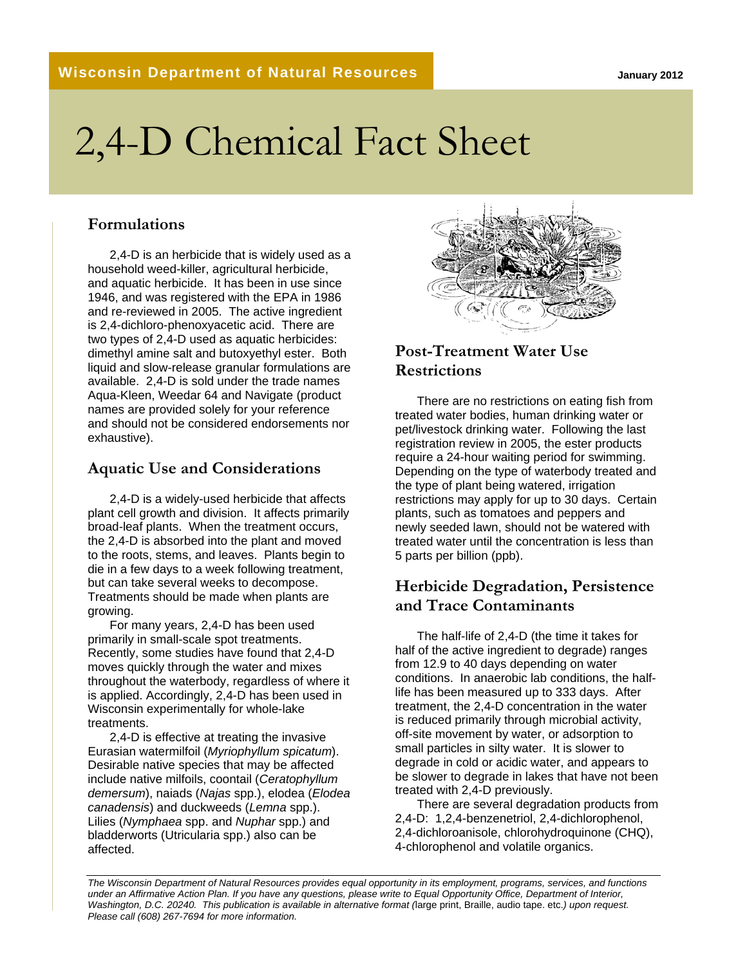# 2,4-D Chemical Fact Sheet

#### **Formulations**

2,4-D is an herbicide that is widely used as a household weed-killer, agricultural herbicide, and aquatic herbicide. It has been in use since 1946, and was registered with the EPA in 1986 and re-reviewed in 2005. The active ingredient is 2,4-dichloro-phenoxyacetic acid. There are two types of 2,4-D used as aquatic herbicides: dimethyl amine salt and butoxyethyl ester. Both liquid and slow-release granular formulations are available. 2,4-D is sold under the trade names Aqua-Kleen, Weedar 64 and Navigate (product names are provided solely for your reference and should not be considered endorsements nor exhaustive).

#### **Aquatic Use and Considerations**

2,4-D is a widely-used herbicide that affects plant cell growth and division. It affects primarily broad-leaf plants. When the treatment occurs, the 2,4-D is absorbed into the plant and moved to the roots, stems, and leaves. Plants begin to die in a few days to a week following treatment, but can take several weeks to decompose. Treatments should be made when plants are growing.

For many years, 2,4-D has been used primarily in small-scale spot treatments. Recently, some studies have found that 2,4-D moves quickly through the water and mixes throughout the waterbody, regardless of where it is applied. Accordingly, 2,4-D has been used in Wisconsin experimentally for whole-lake treatments.

2,4-D is effective at treating the invasive Eurasian watermilfoil (*Myriophyllum spicatum*). Desirable native species that may be affected include native milfoils, coontail (*Ceratophyllum demersum*), naiads (*Najas* spp.), elodea (*Elodea canadensis*) and duckweeds (*Lemna* spp.). Lilies (*Nymphaea* spp. and *Nuphar* spp.) and bladderworts (Utricularia spp.) also can be affected.



### **Post-Treatment Water Use Restrictions**

There are no restrictions on eating fish from treated water bodies, human drinking water or pet/livestock drinking water. Following the last registration review in 2005, the ester products require a 24-hour waiting period for swimming. Depending on the type of waterbody treated and the type of plant being watered, irrigation restrictions may apply for up to 30 days. Certain plants, such as tomatoes and peppers and newly seeded lawn, should not be watered with treated water until the concentration is less than 5 parts per billion (ppb).

#### **Herbicide Degradation, Persistence and Trace Contaminants**

The half-life of 2,4-D (the time it takes for half of the active ingredient to degrade) ranges from 12.9 to 40 days depending on water conditions. In anaerobic lab conditions, the halflife has been measured up to 333 days. After treatment, the 2,4-D concentration in the water is reduced primarily through microbial activity, off-site movement by water, or adsorption to small particles in silty water. It is slower to degrade in cold or acidic water, and appears to be slower to degrade in lakes that have not been treated with 2,4-D previously.

There are several degradation products from 2,4-D: 1,2,4-benzenetriol, 2,4-dichlorophenol, 2,4-dichloroanisole, chlorohydroquinone (CHQ), 4-chlorophenol and volatile organics.

*The Wisconsin Department of Natural Resources provides equal opportunity in its employment, programs, services, and functions under an Affirmative Action Plan. If you have any questions, please write to Equal Opportunity Office, Department of Interior, Washington, D.C. 20240. This publication is available in alternative format (*large print, Braille, audio tape. etc.*) upon request. Please call (608) 267-7694 for more information.*